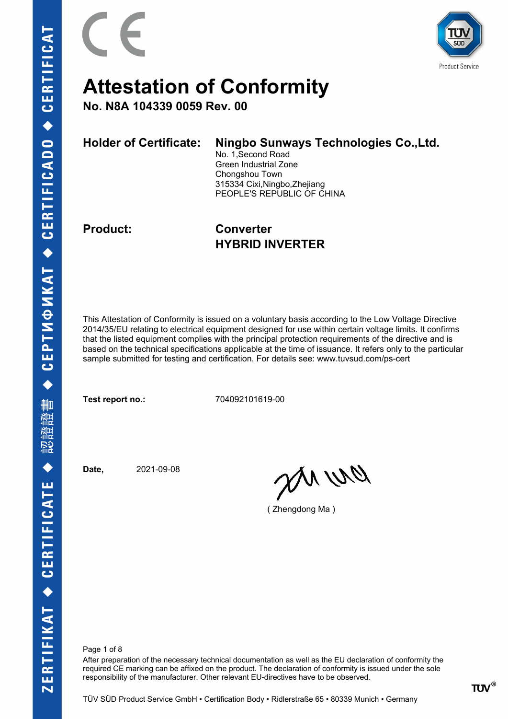

**No. N8A 104339 0059 Rev. 00**

| <b>Holder of Certificate:</b> | Ningbo Sunways Technologies Co., Ltd. |
|-------------------------------|---------------------------------------|
|                               | No. 1, Second Road                    |
|                               | Green Industrial Zone                 |
|                               | Chongshou Town                        |
|                               | 315334 Cixi, Ningbo, Zhejiang         |
|                               | PEOPLE'S REPUBLIC OF CHINA            |
|                               |                                       |
|                               |                                       |

**Product: Converter HYBRID INVERTER**

This Attestation of Conformity is issued on a voluntary basis according to the Low Voltage Directive 2014/35/EU relating to electrical equipment designed for use within certain voltage limits. It confirms that the listed equipment complies with the principal protection requirements of the directive and is based on the technical specifications applicable at the time of issuance. It refers only to the particular sample submitted for testing and certification. For details see: www.tuvsud.com/ps-cert

**Test report no.:** 704092101619-00

**Date,** 2021-09-08

anvio

( Zhengdong Ma )

Page 1 of 8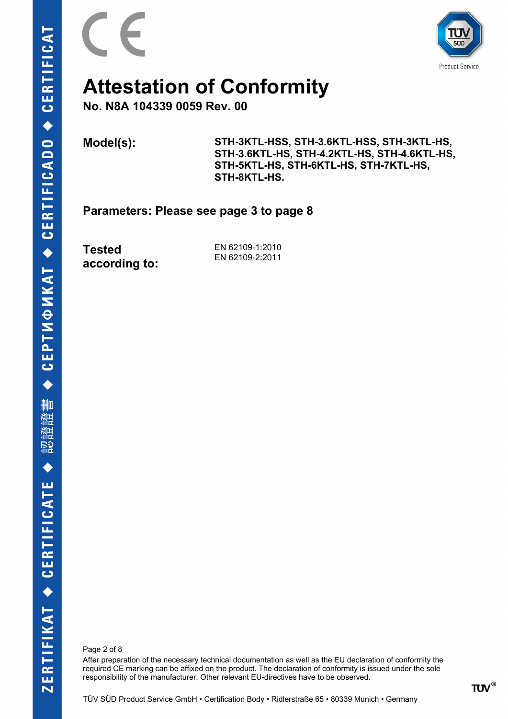



**No. N8A 104339 0059 Rev. 00**

**Model(s): STH-3KTL-HSS, STH-3.6KTL-HSS, STH-3KTL-HS, STH-3.6KTL-HS, STH-4.2KTL-HS, STH-4.6KTL-HS, STH-5KTL-HS, STH-6KTL-HS, STH-7KTL-HS, STH-8KTL-HS.**

**Parameters: Please see page 3 to page 8**

**Tested according to:**

EN 62109-1:2010 EN 62109-2:2011

Page 2 of 8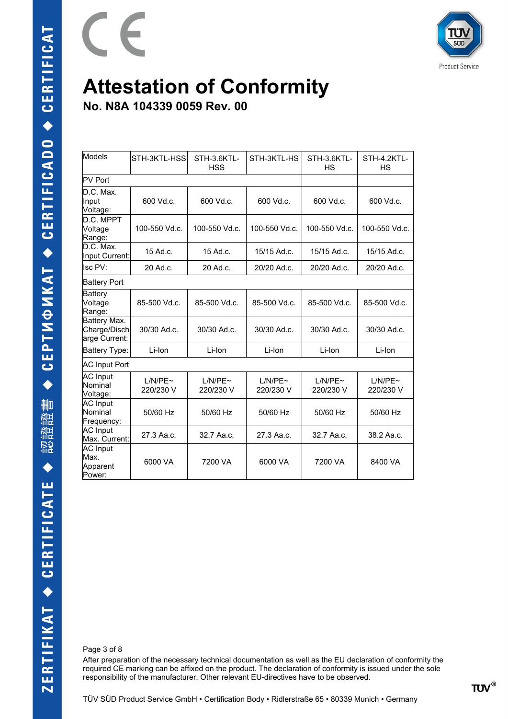

**No. N8A 104339 0059 Rev. 00**

E

| Models                                        | STH-3KTL-HSS         | STH-3.6KTL-<br><b>HSS</b> | STH-3KTL-HS          | STH-3.6KTL-<br><b>HS</b> | STH-4.2KTL-<br><b>HS</b> |  |  |  |
|-----------------------------------------------|----------------------|---------------------------|----------------------|--------------------------|--------------------------|--|--|--|
| PV Port                                       |                      |                           |                      |                          |                          |  |  |  |
| D.C. Max.<br>Input<br>Voltage:                | 600 Vd.c.            | 600 Vd.c.                 | 600 Vd.c.            | 600 Vd.c.                | 600 Vd.c.                |  |  |  |
| D.C. MPPT<br>Voltage<br>Range:                | 100-550 Vd.c.        | 100-550 Vd.c.             | 100-550 Vd.c.        | 100-550 Vd.c.            | 100-550 Vd.c.            |  |  |  |
| D.C. Max.<br>Input Current:                   | 15 Ad.c.             | 15 Ad.c.                  | 15/15 Ad.c.          | 15/15 Ad.c.              | 15/15 Ad.c.              |  |  |  |
| Isc PV:                                       | 20 Ad.c.             | 20 Ad.c.                  | 20/20 Ad.c.          | 20/20 Ad.c.              | 20/20 Ad.c.              |  |  |  |
| <b>Battery Port</b>                           |                      |                           |                      |                          |                          |  |  |  |
| <b>Battery</b><br>Voltage<br>Range:           | 85-500 Vd.c.         | 85-500 Vd.c.              | 85-500 Vd.c.         | 85-500 Vd.c.             | 85-500 Vd.c.             |  |  |  |
| Battery Max.<br>Charge/Disch<br>arge Current: | 30/30 Ad.c.          | 30/30 Ad.c.               | 30/30 Ad.c.          | 30/30 Ad.c.              | 30/30 Ad.c.              |  |  |  |
| Battery Type:                                 | Li-Ion               | Li-Ion                    | Li-Ion               | Li-Ion                   | Li-Ion                   |  |  |  |
| <b>AC Input Port</b>                          |                      |                           |                      |                          |                          |  |  |  |
| <b>AC</b> Input<br>Nominal<br>Voltage:        | L/N/PE~<br>220/230 V | L/N/PE~<br>220/230 V      | L/N/PE~<br>220/230 V | L/N/PE~<br>220/230 V     | L/N/PE~<br>220/230 V     |  |  |  |
| <b>AC</b> Input<br>Nominal<br>Frequency:      | 50/60 Hz             | 50/60 Hz                  | 50/60 Hz             | 50/60 Hz                 | 50/60 Hz                 |  |  |  |
| <b>AC</b> Input<br>Max. Current:              | 27.3 Aa.c.           | 32.7 Aa.c.                | 27.3 Aa.c.           | 32.7 Aa.c.               | 38.2 Aa.c.               |  |  |  |
| AC Input<br>Max.<br>Apparent<br>Power:        | 6000 VA              | 7200 VA                   | 6000 VA              | 7200 VA                  | 8400 VA                  |  |  |  |

Page 3 of 8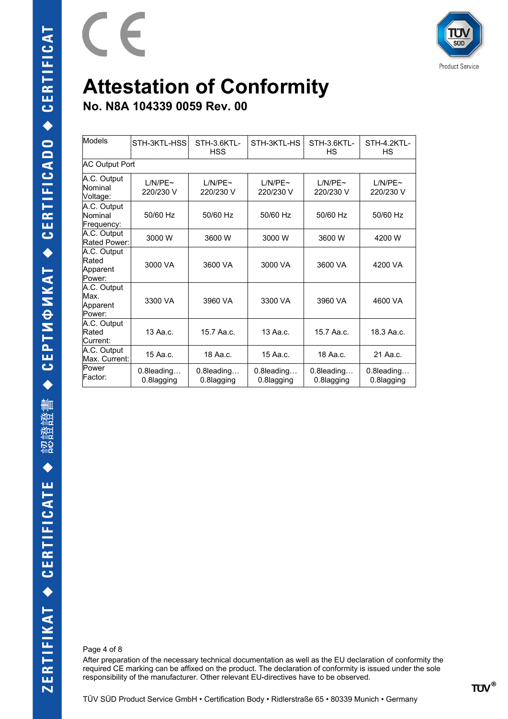

**Product Service** 

# **Attestation of Conformity**

**No. N8A 104339 0059 Rev. 00**

E

| Models                                     | STH-3KTL-HSS                | STH-3.6KTL-<br><b>HSS</b>   | STH-3KTL-HS                | STH-3.6KTL-<br>НS           | STH-4.2KTL-<br>НS        |  |  |  |
|--------------------------------------------|-----------------------------|-----------------------------|----------------------------|-----------------------------|--------------------------|--|--|--|
|                                            | <b>AC Output Port</b>       |                             |                            |                             |                          |  |  |  |
| A.C. Output<br>Nominal<br>Voltage:         | $1/N/PF \sim$<br>220/230 V  | $1/N/PF \sim$<br>220/230 V  | $1/N/PF \sim$<br>220/230 V | $1/N/PF \sim$<br>220/230 V  | L/N/PE~<br>220/230 V     |  |  |  |
| A.C. Output<br>Nominal<br>Frequency:       | 50/60 Hz                    | 50/60 Hz                    | 50/60 Hz                   | 50/60 Hz                    | 50/60 Hz                 |  |  |  |
| A.C. Output<br>Rated Power:                | 3000 W                      | 3600 W                      | 3000 W                     | 3600 W                      | 4200 W                   |  |  |  |
| A.C. Output<br>Rated<br>Apparent<br>Power: | 3000 VA                     | 3600 VA                     | 3000 VA                    | 3600 VA                     | 4200 VA                  |  |  |  |
| A.C. Output<br>Max.<br>Apparent<br>Power:  | 3300 VA                     | 3960 VA                     | 3300 VA                    | 3960 VA                     | 4600 VA                  |  |  |  |
| A.C. Output<br>Rated<br>lCurrent:          | 13 Aa.c.                    | 15.7 Aa.c.                  | 13 Aa.c.                   | 15.7 Aa.c.                  | 18.3 Aa.c.               |  |  |  |
| A.C. Output<br>Max. Current:               | 15 Aa.c.                    | 18 Aa.c.                    | 15 Aa.c.                   | 18 Aa.c.                    | 21 Aa.c.                 |  |  |  |
| Power<br>Factor:                           | $0.8$ leading<br>0.8lagging | $0.8$ leading<br>0.8lagging | 0.8leading<br>0.8lagging   | $0.8$ leading<br>0.8lagging | 0.8leading<br>0.8lagging |  |  |  |

Page 4 of 8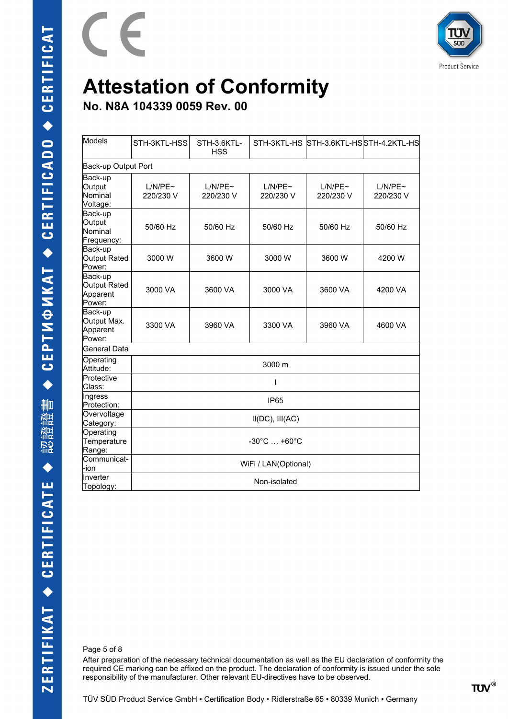



**No. N8A 104339 0059 Rev. 00**

E

| Models                                        | STH-3KTL-HSS                     | STH-3.6KTL-<br><b>HSS</b> |                      |                      | STH-3KTL-HS STH-3.6KTL-HSSTH-4.2KTL-HS |  |
|-----------------------------------------------|----------------------------------|---------------------------|----------------------|----------------------|----------------------------------------|--|
| Back-up Output Port                           |                                  |                           |                      |                      |                                        |  |
| Back-up<br>Output<br>Nominal<br>Voltage:      | L/N/PE~<br>220/230 V             | L/N/PE~<br>220/230 V      | L/N/PE~<br>220/230 V | L/N/PE~<br>220/230 V | L/N/PE~<br>220/230 V                   |  |
| Back-up<br>Output<br>Nominal<br>Frequency:    | 50/60 Hz                         | 50/60 Hz                  | 50/60 Hz             | 50/60 Hz             | 50/60 Hz                               |  |
| Back-up<br>Output Rated<br>Power:             | 3000 W                           | 3600 W                    | 3000 W               | 3600 W               | 4200 W                                 |  |
| Back-up<br>Output Rated<br>Apparent<br>Power: | 3000 VA                          | 3600 VA                   | 3000 VA              | 3600 VA              | 4200 VA                                |  |
| Back-up<br>Output Max.<br>Apparent<br>Power:  | 3300 VA                          | 3960 VA                   | 3300 VA              | 3960 VA              | 4600 VA                                |  |
| General Data                                  |                                  |                           |                      |                      |                                        |  |
| Operating<br>Attitude:                        | 3000 m                           |                           |                      |                      |                                        |  |
| Protective<br>Class:                          |                                  | ı                         |                      |                      |                                        |  |
| Ingress<br>Protection:                        | <b>IP65</b>                      |                           |                      |                      |                                        |  |
| Overvoltage<br>Category:                      | $II(DC)$ , $III(AC)$             |                           |                      |                      |                                        |  |
| Operating<br>Temperature<br>Range:            | $-30^{\circ}$ C $ +60^{\circ}$ C |                           |                      |                      |                                        |  |
| Communicat-<br>-ion                           | WiFi / LAN(Optional)             |                           |                      |                      |                                        |  |
| Inverter<br>Topology:                         | Non-isolated                     |                           |                      |                      |                                        |  |

Page 5 of 8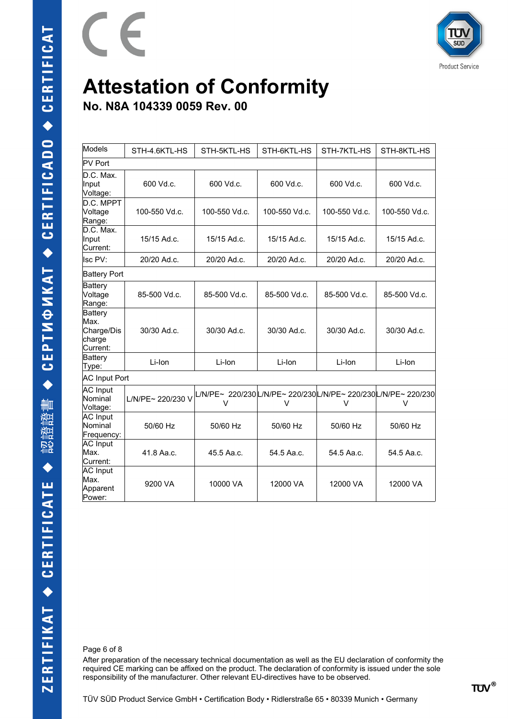

**No. N8A 104339 0059 Rev. 00**

E

| Models                                              | STH-4.6KTL-HS     | STH-5KTL-HS                                                            | STH-6KTL-HS   | STH-7KTL-HS   | STH-8KTL-HS   |  |  |
|-----------------------------------------------------|-------------------|------------------------------------------------------------------------|---------------|---------------|---------------|--|--|
| PV Port                                             |                   |                                                                        |               |               |               |  |  |
| D.C. Max.<br>Input<br>Voltage:                      | 600 Vd.c.         | 600 Vd.c.                                                              | 600 Vd.c.     | 600 Vd.c.     | 600 Vd.c.     |  |  |
| D.C. MPPT<br>Voltage<br>Range:                      | 100-550 Vd.c.     | 100-550 Vd.c.                                                          | 100-550 Vd.c. | 100-550 Vd.c. | 100-550 Vd.c. |  |  |
| D.C. Max.<br>Input<br>Current:                      | 15/15 Ad.c.       | 15/15 Ad.c.                                                            | 15/15 Ad.c.   | 15/15 Ad.c.   | 15/15 Ad.c.   |  |  |
| <b>Isc PV:</b>                                      | 20/20 Ad.c.       | 20/20 Ad.c.                                                            | 20/20 Ad.c.   | 20/20 Ad.c.   | 20/20 Ad.c.   |  |  |
| <b>Battery Port</b>                                 |                   |                                                                        |               |               |               |  |  |
| <b>Battery</b><br>Voltage<br>Range:                 | 85-500 Vd.c.      | 85-500 Vd.c.                                                           | 85-500 Vd.c.  | 85-500 Vd.c.  | 85-500 Vd.c.  |  |  |
| Battery<br>Max.<br>Charge/Dis<br>charge<br>Current: | 30/30 Ad.c.       | 30/30 Ad.c.                                                            | 30/30 Ad.c.   | 30/30 Ad.c.   | 30/30 Ad.c.   |  |  |
| <b>Battery</b><br>Type:                             | Li-Ion            | Li-Ion                                                                 | Li-Ion        | Li-Ion        | Li-Ion        |  |  |
| <b>AC Input Port</b>                                |                   |                                                                        |               |               |               |  |  |
| <b>AC</b> Input<br>Nominal<br>Voltage:              | L/N/PE~ 220/230 V | L/N/PE~ 220/230L/N/PE~ 220/230L/N/PE~ 220/230L/N/PE~ 220/230<br>$\vee$ | V             | V             | V             |  |  |
| <b>AC</b> Input<br>Nominal<br>Frequency:            | 50/60 Hz          | 50/60 Hz                                                               | 50/60 Hz      | 50/60 Hz      | 50/60 Hz      |  |  |
| <b>AC</b> Input<br>Max.<br>Current:                 | 41.8 Aa.c.        | 45.5 Aa.c.                                                             | 54.5 Aa.c.    | 54.5 Aa.c.    | 54.5 Aa.c.    |  |  |
| <b>AC</b> Input<br>Max.<br>Apparent<br>Power:       | 9200 VA           | 10000 VA                                                               | 12000 VA      | 12000 VA      | 12000 VA      |  |  |

Page 6 of 8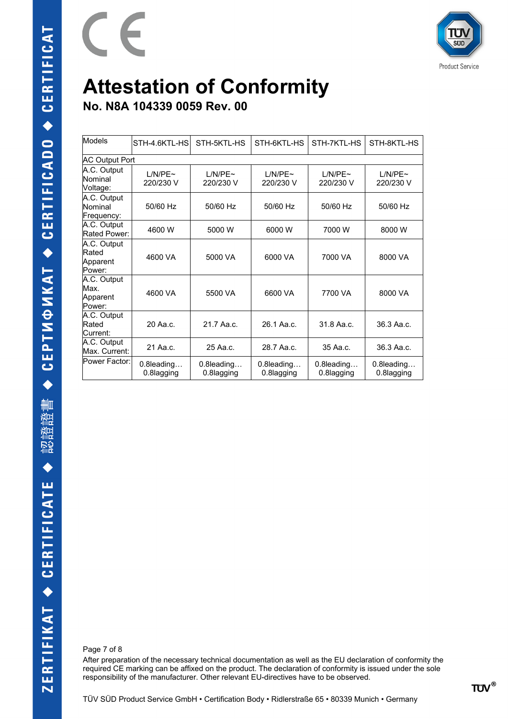

**No. N8A 104339 0059 Rev. 00**

E

| Models                                     | STH-4.6KTL-HS               | STH-5KTL-HS                 | STH-6KTL-HS              | STH-7KTL-HS                 | STH-8KTL-HS              |
|--------------------------------------------|-----------------------------|-----------------------------|--------------------------|-----------------------------|--------------------------|
| <b>AC Output Port</b>                      |                             |                             |                          |                             |                          |
| A.C. Output<br>Nominal<br>Voltage:         | L/N/PE~<br>220/230 V        | L/N/PE~<br>220/230 V        | L/N/PE~<br>220/230 V     | L/N/PE~<br>220/230 V        | L/N/PE~<br>220/230 V     |
| A.C. Output<br>Nominal<br>Frequency:       | 50/60 Hz                    | 50/60 Hz                    | 50/60 Hz                 | 50/60 Hz                    | 50/60 Hz                 |
| A.C. Output<br>Rated Power:                | 4600 W                      | 5000 W                      | 6000 W                   | 7000 W                      | 8000 W                   |
| A.C. Output<br>Rated<br>Apparent<br>Power: | 4600 VA                     | 5000 VA                     | 6000 VA                  | 7000 VA                     | 8000 VA                  |
| A.C. Output<br>Max.<br>Apparent<br>Power:  | 4600 VA                     | 5500 VA                     | 6600 VA                  | 7700 VA                     | 8000 VA                  |
| A.C. Output<br>Rated<br>Current:           | 20 Aa.c.                    | 21.7 Aa.c.                  | 26.1 Aa.c.               | 31.8 Aa.c.                  | 36.3 Aa.c.               |
| A.C. Output<br>Max. Current:               | 21 Aa.c.                    | 25 Aa.c.                    | 28.7 Aa.c.               | 35 Aa.c.                    | 36.3 Aa.c.               |
| Power Factor:                              | $0.8$ leading<br>0.8lagging | $0.8$ leading<br>0.8lagging | 0.8leading<br>0.8lagging | $0.8$ leading<br>0.8lagging | 0.8leading<br>0.8lagging |

Page 7 of 8